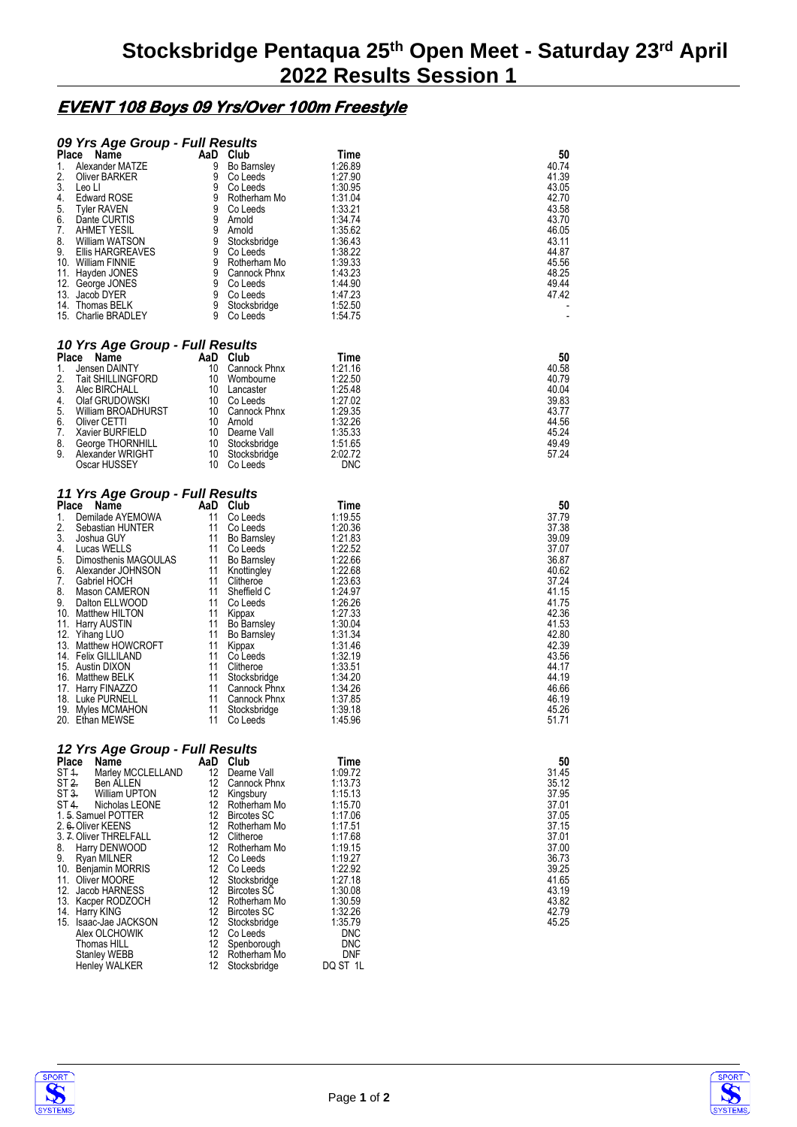## **EVENT 108 Boys 09 Yrs/Over 100m Freestyle**

| 09 Yrs Age Group - Full Results                       |          |                                    |                    |                |
|-------------------------------------------------------|----------|------------------------------------|--------------------|----------------|
| <b>Place</b><br><b>Name</b>                           | AaD Club |                                    | Time               | 50             |
| 1.<br>Alexander MATZE<br>2.<br>Oliver BARKER          | 9<br>9   | <b>Bo Barnsley</b><br>Co Leeds     | 1:26.89<br>1:27.90 | 40.74<br>41.39 |
| 3.<br>Leo Ll                                          | 9        | Co Leeds                           | 1:30.95            | 43.05          |
| 4.<br><b>Edward ROSE</b>                              | 9        | Rotherham Mo                       | 1:31.04            | 42.70          |
| 5.<br><b>Tyler RAVEN</b>                              | 9        | Co Leeds                           | 1:33.21            | 43.58          |
| 6.<br>Dante CURTIS<br><b>AHMET YESIL</b><br>7.        | 9<br>9   | Arnold<br>Arnold                   | 1:34.74<br>1:35.62 | 43.70<br>46.05 |
| 8.<br>William WATSON                                  | 9        | Stocksbridge                       | 1:36.43            | 43.11          |
| 9.<br>Ellis HARGREAVES                                | 9        | Co Leeds                           | 1:38.22            | 44.87          |
| 10. William FINNIE                                    | 9<br>9   | Rotherham Mo<br>Cannock Phnx       | 1:39.33<br>1:43.23 | 45.56<br>48.25 |
| 11. Hayden JONES<br>12. George JONES                  | 9        | Co Leeds                           | 1:44.90            | 49.44          |
| 13.<br>Jacob DYER                                     | 9        | Co Leeds                           | 1:47.23            | 47.42          |
| 14. Thomas BELK                                       | 9<br>9   | Stocksbridge                       | 1:52.50            |                |
| 15. Charlie BRADLEY                                   |          | Co Leeds                           | 1:54.75            |                |
| 10 Yrs Age Group - Full Results                       |          |                                    |                    |                |
| Place<br>Name                                         | AaD Club |                                    | Time               | 50             |
| 1.<br>Jensen DAINTY                                   | 10       | Cannock Phnx                       | 1:21.16            | 40.58          |
| 2.<br><b>Tait SHILLINGFORD</b><br>3.<br>Alec BIRCHALL | 10<br>10 | Wombourne<br>Lancaster             | 1:22.50<br>1:25.48 | 40.79<br>40.04 |
| 4.<br>Olaf GRUDOWSKI                                  | 10       | Co Leeds                           | 1:27.02            | 39.83          |
| 5.<br>William BROADHURST                              | 10       | Cannock Phnx                       | 1:29.35            | 43.77          |
| 6.<br>Oliver CETTI                                    | 10       | Arnold                             | 1:32.26            | 44.56          |
| 7.<br>Xavier BURFIELD<br>8.<br>George THORNHILL       | 10<br>10 | Dearne Vall<br>Stocksbridge        | 1:35.33<br>1:51.65 | 45.24<br>49.49 |
| 9.<br>Alexander WRIGHT                                | 10       | Stocksbridge                       | 2:02.72            | 57.24          |
| Oscar HUSSEY                                          | 10       | Co Leeds                           | DNC                |                |
|                                                       |          |                                    |                    |                |
| 11 Yrs Age Group - Full Results<br>Place<br>Name      | AaD      | Club                               | Time               | 50             |
| 1.<br>Demilade AYEMOWA                                | 11       | Co Leeds                           | 1:19.55            | 37.79          |
| 2.<br>Sebastian HUNTER                                | 11       | Co Leeds                           | 1:20.36            | 37.38          |
| 3.<br>Joshua GUY<br>4.<br>Lucas WELLS                 | 11<br>11 | <b>Bo Barnsley</b><br>Co Leeds     | 1:21.83<br>1:22.52 | 39.09<br>37.07 |
| 5.<br>Dimosthenis MAGOULAS                            | 11       | <b>Bo Barnsley</b>                 | 1:22.66            | 36.87          |
| 6.<br>Alexander JOHNSON                               | 11       | Knottingley                        | 1:22.68            | 40.62          |
| 7.<br>Gabriel HOCH                                    | 11       | Clitheroe                          | 1:23.63            | 37.24          |
| 8.<br>Mason CAMERON<br>9.<br>Dalton ELLWOOD           | 11<br>11 | Sheffield C<br>Co Leeds            | 1:24.97<br>1:26.26 | 41.15<br>41.75 |
| 10. Matthew HILTON                                    | 11       | Kippax                             | 1:27.33            | 42.36          |
| <b>Harry AUSTIN</b><br>11.                            | 11       | <b>Bo Barnsley</b>                 | 1:30.04            | 41.53          |
| 12. Yihang LUO                                        | 11       | <b>Bo Barnsley</b>                 | 1:31.34            | 42.80          |
| 13. Matthew HOWCROFT<br>14. Felix GILLILAND           | 11<br>11 | Kippax<br>Co Leeds                 | 1:31.46<br>1:32.19 | 42.39<br>43.56 |
| 15. Austin DIXON                                      | 11       | Clitheroe                          | 1:33.51            | 44.17          |
| 16.<br>Matthew BELK                                   | 11       | Stocksbridge                       | 1:34.20            | 44.19          |
| Harry FINAZZO<br>17.<br>18. Luke PURNELL              | 11<br>11 | Cannock Phnx<br>Cannock Phnx       | 1:34.26<br>1:37.85 | 46.66<br>46.19 |
| 19.<br>Myles MCMAHON                                  | 11       | Stocksbridge                       | 1:39.18            | 45.26          |
| 20. Ethan MEWSE                                       | 11       | Co Leeds                           | 1:45.96            | 51.71          |
| 12 Yrs Age Group - Full Results                       |          |                                    |                    |                |
| Place<br>Name                                         | AaD      | Club                               | Time               | 50             |
| Marley MCCLELLAND<br>ST 1.                            | 12       | Dearne Vall                        | 1:09.72            | 31.45          |
| ST 2.<br>Ben ALLEN                                    | 12       | Cannock Phnx                       | 1:13.73            | 35.12          |
| ST 3.<br>William UPTON<br>ST 4.<br>Nicholas LEONE     | 12<br>12 | Kingsbury<br>Rotherham Mo          | 1:15.13<br>1:15.70 | 37.95<br>37.01 |
| 1.5. Samuel POTTER                                    | 12       | <b>Bircotes SC</b>                 | 1:17.06            | 37.05          |
| 2. 6. Oliver KEENS                                    | 12       | Rotherham Mo                       | 1:17.51            | 37.15          |
| 3. 7. Oliver THRELFALL                                | 12       | Clitheroe                          | 1:17.68            | 37.01          |
| 8.<br>Harry DENWOOD<br>9.<br>Ryan MILNER              | 12<br>12 | Rotherham Mo<br>Co Leeds           | 1:19.15<br>1:19.27 | 37.00<br>36.73 |
| 10. Benjamin MORRIS                                   | 12       | Co Leeds                           | 1:22.92            | 39.25          |
| 11. Oliver MOORE                                      | 12       | Stocksbridge                       | 1:27.18            | 41.65          |
| 12. Jacob HARNESS                                     | 12<br>12 | <b>Bircotes SC</b>                 | 1:30.08            | 43.19          |
| 13. Kacper RODZOCH<br>14. Harry KING                  | 12       | Rotherham Mo<br><b>Bircotes SC</b> | 1:30.59<br>1:32.26 | 43.82<br>42.79 |
| 15. Isaac-Jae JACKSON                                 | 12       | Stocksbridge                       | 1:35.79            | 45.25          |
| Alex OLCHOWIK                                         | 12       | Co Leeds                           | DNC                |                |
| Thomas HILL                                           | 12<br>12 | Spenborough<br>Rotherham Mo        | DNC<br>DNF         |                |
| Stanley WEBB<br>Henley WALKER                         | 12       | Stocksbridge                       | DQ ST 1L           |                |